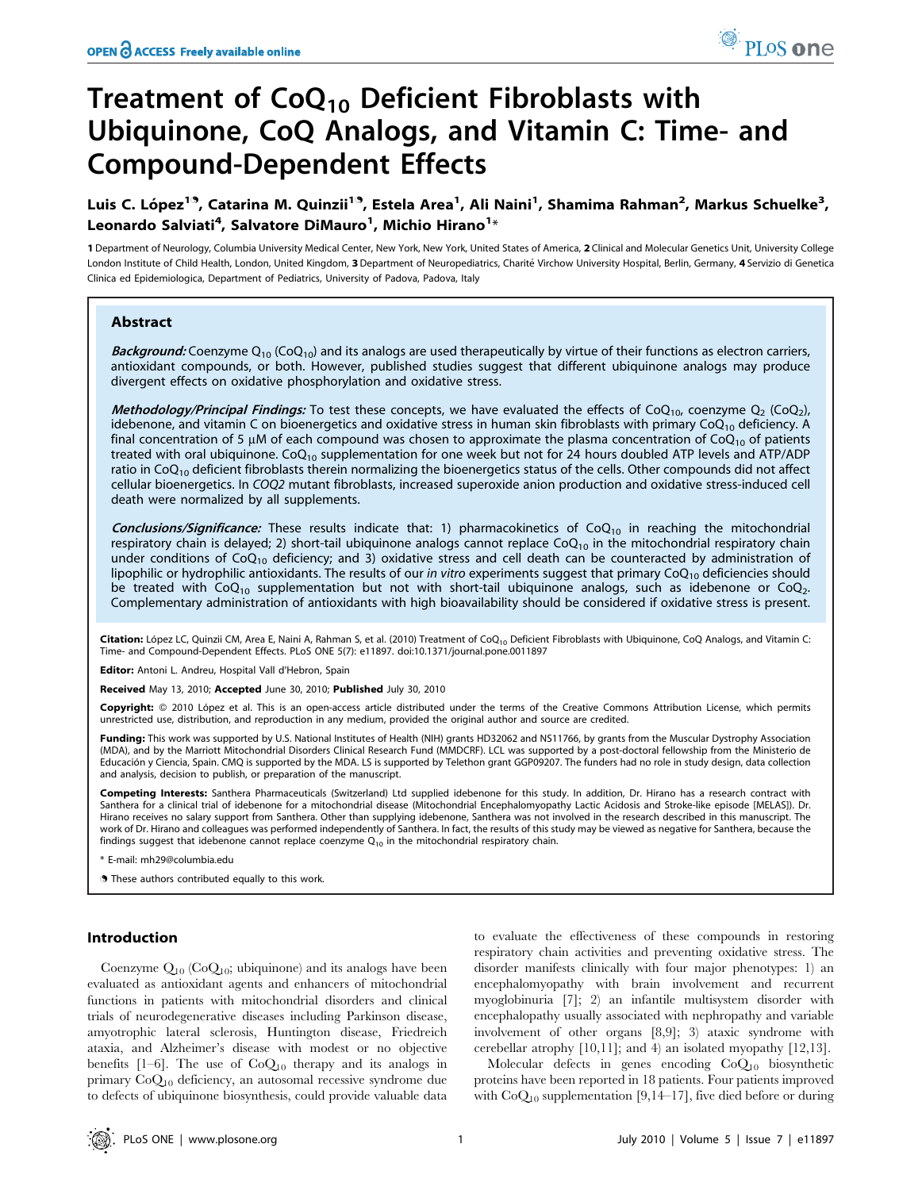# Treatment of  $CoQ_{10}$  Deficient Fibroblasts with Ubiquinone, CoQ Analogs, and Vitamin C: Time- and Compound-Dependent Effects

## Luis C. López<sup>19</sup>, Catarina M. Quinzii<sup>19</sup>, Estela Area<sup>1</sup>, Ali Naini<sup>1</sup>, Shamima Rahman<sup>2</sup>, Markus Schuelke<sup>3</sup>, Leonardo Salviati<sup>4</sup>, Salvatore DiMauro<sup>1</sup>, Michio Hirano<sup>1</sup>\*

1 Department of Neurology, Columbia University Medical Center, New York, New York, United States of America, 2 Clinical and Molecular Genetics Unit, University College London Institute of Child Health, London, United Kingdom, 3 Department of Neuropediatrics, Charité Virchow University Hospital, Berlin, Germany, 4 Servizio di Genetica Clinica ed Epidemiologica, Department of Pediatrics, University of Padova, Padova, Italy

#### Abstract

Background: Coenzyme  $Q_{10}$  (Co $Q_{10}$ ) and its analogs are used therapeutically by virtue of their functions as electron carriers, antioxidant compounds, or both. However, published studies suggest that different ubiquinone analogs may produce divergent effects on oxidative phosphorylation and oxidative stress.

Methodology/Principal Findings: To test these concepts, we have evaluated the effects of CoQ<sub>10</sub>, coenzyme Q<sub>2</sub> (CoQ<sub>2</sub>), idebenone, and vitamin C on bioenergetics and oxidative stress in human skin fibroblasts with primary CoO<sub>10</sub> deficiency. A final concentration of 5  $\mu$ M of each compound was chosen to approximate the plasma concentration of CoQ<sub>10</sub> of patients treated with oral ubiquinone.  $CoQ_{10}$  supplementation for one week but not for 24 hours doubled ATP levels and ATP/ADP ratio in  $CoQ<sub>10</sub>$  deficient fibroblasts therein normalizing the bioenergetics status of the cells. Other compounds did not affect cellular bioenergetics. In COQ2 mutant fibroblasts, increased superoxide anion production and oxidative stress-induced cell death were normalized by all supplements.

**Conclusions/Significance:** These results indicate that: 1) pharmacokinetics of CoQ<sub>10</sub> in reaching the mitochondrial respiratory chain is delayed; 2) short-tail ubiquinone analogs cannot replace  $CoQ_{10}$  in the mitochondrial respiratory chain under conditions of CoQ<sub>10</sub> deficiency; and 3) oxidative stress and cell death can be counteracted by administration of lipophilic or hydrophilic antioxidants. The results of our in vitro experiments suggest that primary  $CoQ_{10}$  deficiencies should be treated with CoQ<sub>10</sub> supplementation but not with short-tail ubiquinone analogs, such as idebenone or CoQ<sub>2</sub>. Complementary administration of antioxidants with high bioavailability should be considered if oxidative stress is present.

Citation: López LC, Quinzii CM, Area E, Naini A, Rahman S, et al. (2010) Treatment of CoQ<sub>10</sub> Deficient Fibroblasts with Ubiquinone, CoQ Analogs, and Vitamin C: Time- and Compound-Dependent Effects. PLoS ONE 5(7): e11897. doi:10.1371/journal.pone.0011897

Editor: Antoni L. Andreu, Hospital Vall d'Hebron, Spain

Received May 13, 2010; Accepted June 30, 2010; Published July 30, 2010

Copyright: © 2010 López et al. This is an open-access article distributed under the terms of the Creative Commons Attribution License, which permits unrestricted use, distribution, and reproduction in any medium, provided the original author and source are credited.

Funding: This work was supported by U.S. National Institutes of Health (NIH) grants HD32062 and NS11766, by grants from the Muscular Dystrophy Association (MDA), and by the Marriott Mitochondrial Disorders Clinical Research Fund (MMDCRF). LCL was supported by a post-doctoral fellowship from the Ministerio de<br>Educación y Ciencia, Spain. CMQ is supported by the MDA. LS is supp and analysis, decision to publish, or preparation of the manuscript.

Competing Interests: Santhera Pharmaceuticals (Switzerland) Ltd supplied idebenone for this study. In addition, Dr. Hirano has a research contract with Santhera for a clinical trial of idebenone for a mitochondrial disease (Mitochondrial Encephalomyopathy Lactic Acidosis and Stroke-like episode [MELAS]). Dr. Hirano receives no salary support from Santhera. Other than supplying idebenone, Santhera was not involved in the research described in this manuscript. The work of Dr. Hirano and colleagues was performed independently of Santhera. In fact, the results of this study may be viewed as negative for Santhera, because the findings suggest that idebenone cannot replace coenzyme  $Q_{10}$  in the mitochondrial respiratory chain.

\* E-mail: mh29@columbia.edu

. These authors contributed equally to this work.

#### Introduction

Coenzyme  $Q_{10}$  (Co $Q_{10}$ ; ubiquinone) and its analogs have been evaluated as antioxidant agents and enhancers of mitochondrial functions in patients with mitochondrial disorders and clinical trials of neurodegenerative diseases including Parkinson disease, amyotrophic lateral sclerosis, Huntington disease, Friedreich ataxia, and Alzheimer's disease with modest or no objective benefits  $[1-6]$ . The use of  $CoQ_{10}$  therapy and its analogs in primary CoQ10 deficiency, an autosomal recessive syndrome due to defects of ubiquinone biosynthesis, could provide valuable data

to evaluate the effectiveness of these compounds in restoring respiratory chain activities and preventing oxidative stress. The disorder manifests clinically with four major phenotypes: 1) an encephalomyopathy with brain involvement and recurrent myoglobinuria [7]; 2) an infantile multisystem disorder with encephalopathy usually associated with nephropathy and variable involvement of other organs [8,9]; 3) ataxic syndrome with cerebellar atrophy [10,11]; and 4) an isolated myopathy [12,13].

Molecular defects in genes encoding CoQ10 biosynthetic proteins have been reported in 18 patients. Four patients improved with  $CoQ_{10}$  supplementation [9,14–17], five died before or during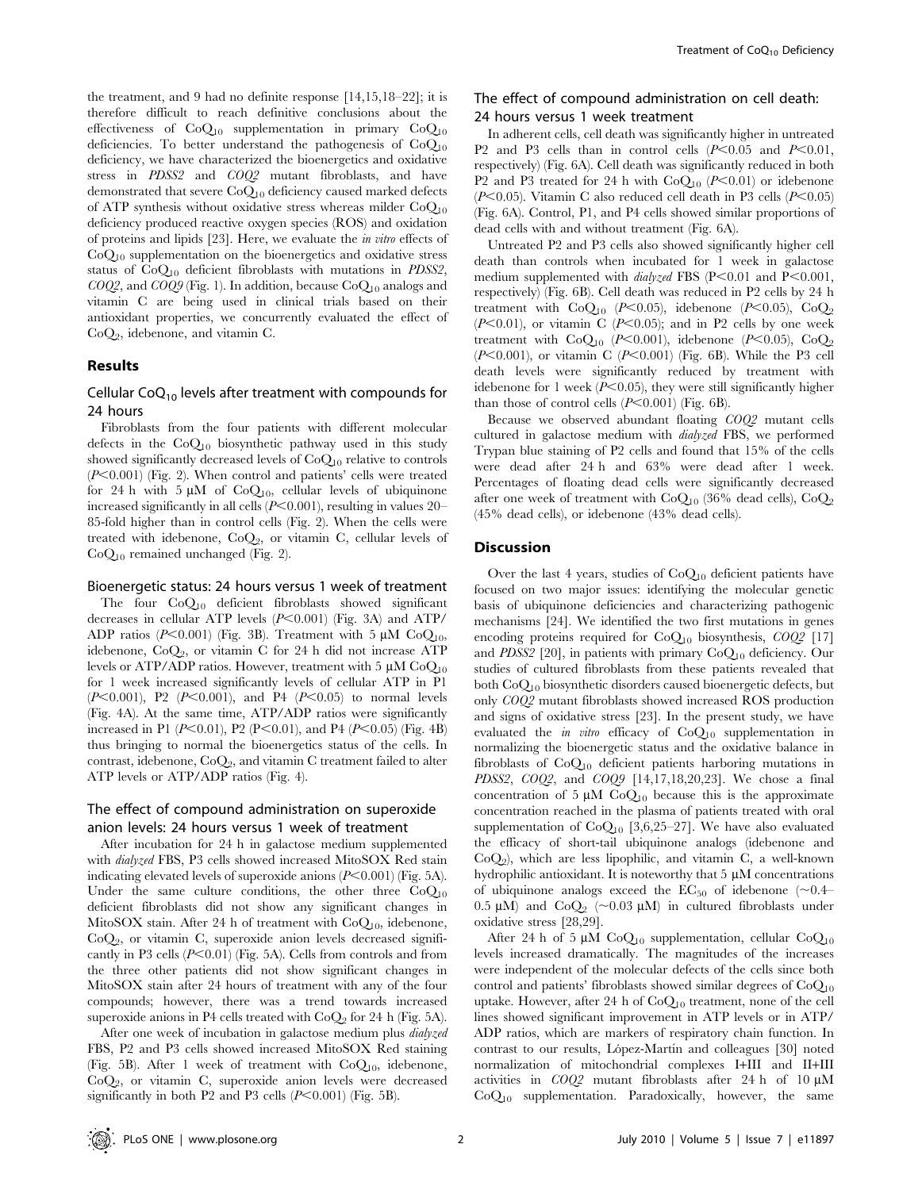the treatment, and 9 had no definite response [14,15,18–22]; it is therefore difficult to reach definitive conclusions about the effectiveness of  $CoQ_{10}$  supplementation in primary  $CoQ_{10}$ deficiencies. To better understand the pathogenesis of  $CoQ_{10}$ deficiency, we have characterized the bioenergetics and oxidative stress in PDSS2 and COQ2 mutant fibroblasts, and have demonstrated that severe CoQ10 deficiency caused marked defects of ATP synthesis without oxidative stress whereas milder  $CoO<sub>10</sub>$ deficiency produced reactive oxygen species (ROS) and oxidation of proteins and lipids [23]. Here, we evaluate the in vitro effects of CoQ10 supplementation on the bioenergetics and oxidative stress status of  $CoQ_{10}$  deficient fibroblasts with mutations in *PDSS2*,  $COQ2$ , and  $COQ9$  (Fig. 1). In addition, because  $CoQ_{10}$  analogs and vitamin C are being used in clinical trials based on their antioxidant properties, we concurrently evaluated the effect of  $CoQ<sub>2</sub>$ , idebenone, and vitamin C.

#### Results

## Cellular  $CoQ_{10}$  levels after treatment with compounds for 24 hours

Fibroblasts from the four patients with different molecular defects in the  $CoQ<sub>10</sub>$  biosynthetic pathway used in this study showed significantly decreased levels of CoQ10 relative to controls  $(P<0.001)$  (Fig. 2). When control and patients' cells were treated for 24 h with 5  $\mu$ M of CoQ<sub>10</sub>, cellular levels of ubiquinone increased significantly in all cells  $(P<0.001)$ , resulting in values 20– 85-fold higher than in control cells (Fig. 2). When the cells were treated with idebenone,  $CoQ<sub>2</sub>$ , or vitamin C, cellular levels of  $CoQ_{10}$  remained unchanged (Fig. 2).

#### Bioenergetic status: 24 hours versus 1 week of treatment

The four CoQ10 deficient fibroblasts showed significant decreases in cellular ATP levels  $(P<0.001)$  (Fig. 3A) and ATP/ ADP ratios (P<0.001) (Fig. 3B). Treatment with 5  $\mu$ M CoQ<sub>10</sub>, idebenone,  $CoQ_2$ , or vitamin C for 24 h did not increase ATP levels or ATP/ADP ratios. However, treatment with 5  $\mu$ M CoQ<sub>10</sub> for 1 week increased significantly levels of cellular ATP in P1  $(P<0.001)$ , P2  $(P<0.001)$ , and P4  $(P<0.05)$  to normal levels (Fig. 4A). At the same time, ATP/ADP ratios were significantly increased in P1 ( $P<0.01$ ), P2 ( $P<0.01$ ), and P4 ( $P<0.05$ ) (Fig. 4B) thus bringing to normal the bioenergetics status of the cells. In contrast, idebenone,  $CoQ_2$ , and vitamin C treatment failed to alter ATP levels or ATP/ADP ratios (Fig. 4).

## The effect of compound administration on superoxide anion levels: 24 hours versus 1 week of treatment

After incubation for 24 h in galactose medium supplemented with dialyzed FBS, P3 cells showed increased MitoSOX Red stain indicating elevated levels of superoxide anions  $(P<0.001)$  (Fig. 5A). Under the same culture conditions, the other three  $CoQ_{10}$ deficient fibroblasts did not show any significant changes in MitoSOX stain. After 24 h of treatment with  $CoQ_{10}$ , idebenone,  $CoQ<sub>2</sub>$ , or vitamin C, superoxide anion levels decreased significantly in P3 cells  $(P<0.01)$  (Fig. 5A). Cells from controls and from the three other patients did not show significant changes in MitoSOX stain after 24 hours of treatment with any of the four compounds; however, there was a trend towards increased superoxide anions in P4 cells treated with  $CoQ<sub>2</sub>$  for 24 h (Fig. 5A).

After one week of incubation in galactose medium plus *dialyzed* FBS, P2 and P3 cells showed increased MitoSOX Red staining (Fig. 5B). After 1 week of treatment with  $CoQ<sub>10</sub>$ , idebenone,  $CoQ<sub>2</sub>$ , or vitamin C, superoxide anion levels were decreased significantly in both P2 and P3 cells  $(P<0.001)$  (Fig. 5B).

## The effect of compound administration on cell death: 24 hours versus 1 week treatment

In adherent cells, cell death was significantly higher in untreated P2 and P3 cells than in control cells  $(P<0.05$  and  $P<0.01$ , respectively) (Fig. 6A). Cell death was significantly reduced in both P2 and P3 treated for 24 h with  $CoQ_{10}$  (P<0.01) or idebenone ( $P<0.05$ ). Vitamin C also reduced cell death in P3 cells ( $P<0.05$ ) (Fig. 6A). Control, P1, and P4 cells showed similar proportions of dead cells with and without treatment (Fig. 6A).

Untreated P2 and P3 cells also showed significantly higher cell death than controls when incubated for 1 week in galactose medium supplemented with  $dialyzed$  FBS (P<0.01 and P<0.001, respectively) (Fig. 6B). Cell death was reduced in P2 cells by 24 h treatment with  $CoQ_{10}$  (P<0.05), idebenone (P<0.05),  $CoQ_2$  $(P<0.01)$ , or vitamin C  $(P<0.05)$ ; and in P2 cells by one week treatment with  $CoQ_{10}$  (P<0.001), idebenone (P<0.05),  $CoQ_2$  $(P<0.001)$ , or vitamin C  $(P<0.001)$  (Fig. 6B). While the P3 cell death levels were significantly reduced by treatment with idebenone for 1 week  $(P<0.05)$ , they were still significantly higher than those of control cells  $(P<0.001)$  (Fig. 6B).

Because we observed abundant floating COQ2 mutant cells cultured in galactose medium with dialyzed FBS, we performed Trypan blue staining of P2 cells and found that 15% of the cells were dead after 24 h and 63% were dead after 1 week. Percentages of floating dead cells were significantly decreased after one week of treatment with  $CoQ_{10}$  (36% dead cells),  $CoQ_2$ (45% dead cells), or idebenone (43% dead cells).

### **Discussion**

Over the last 4 years, studies of  $CoQ_{10}$  deficient patients have focused on two major issues: identifying the molecular genetic basis of ubiquinone deficiencies and characterizing pathogenic mechanisms [24]. We identified the two first mutations in genes encoding proteins required for  $CoQ_{10}$  biosynthesis,  $COQ^2$  [17] and PDSS2 [20], in patients with primary  $CoQ_{10}$  deficiency. Our studies of cultured fibroblasts from these patients revealed that both CoQ10 biosynthetic disorders caused bioenergetic defects, but only COQ2 mutant fibroblasts showed increased ROS production and signs of oxidative stress [23]. In the present study, we have evaluated the *in vitro* efficacy of  $CoQ_{10}$  supplementation in normalizing the bioenergetic status and the oxidative balance in fibroblasts of  $CoQ_{10}$  deficient patients harboring mutations in PDSS2, COQ2, and COQ9 [14,17,18,20,23]. We chose a final concentration of 5  $\mu$ M CoQ<sub>10</sub> because this is the approximate concentration reached in the plasma of patients treated with oral supplementation of  $CoQ_{10}$  [3,6,25–27]. We have also evaluated the efficacy of short-tail ubiquinone analogs (idebenone and  $CoQ<sub>2</sub>$ ), which are less lipophilic, and vitamin C, a well-known hydrophilic antioxidant. It is noteworthy that  $5 \mu M$  concentrations of ubiquinone analogs exceed the  $EC_{50}$  of idebenone (~0.4– 0.5  $\mu$ M) and CoQ<sub>2</sub> (~0.03  $\mu$ M) in cultured fibroblasts under oxidative stress [28,29].

After 24 h of 5  $\mu$ M CoQ<sub>10</sub> supplementation, cellular CoQ<sub>10</sub> levels increased dramatically. The magnitudes of the increases were independent of the molecular defects of the cells since both control and patients' fibroblasts showed similar degrees of  $CoQ_{10}$ uptake. However, after 24 h of CoQ<sub>10</sub> treatment, none of the cell lines showed significant improvement in ATP levels or in ATP/ ADP ratios, which are markers of respiratory chain function. In contrast to our results, López-Martín and colleagues [30] noted normalization of mitochondrial complexes I+III and II+III activities in  $COQ2$  mutant fibroblasts after 24 h of 10  $\mu$ M CoQ10 supplementation. Paradoxically, however, the same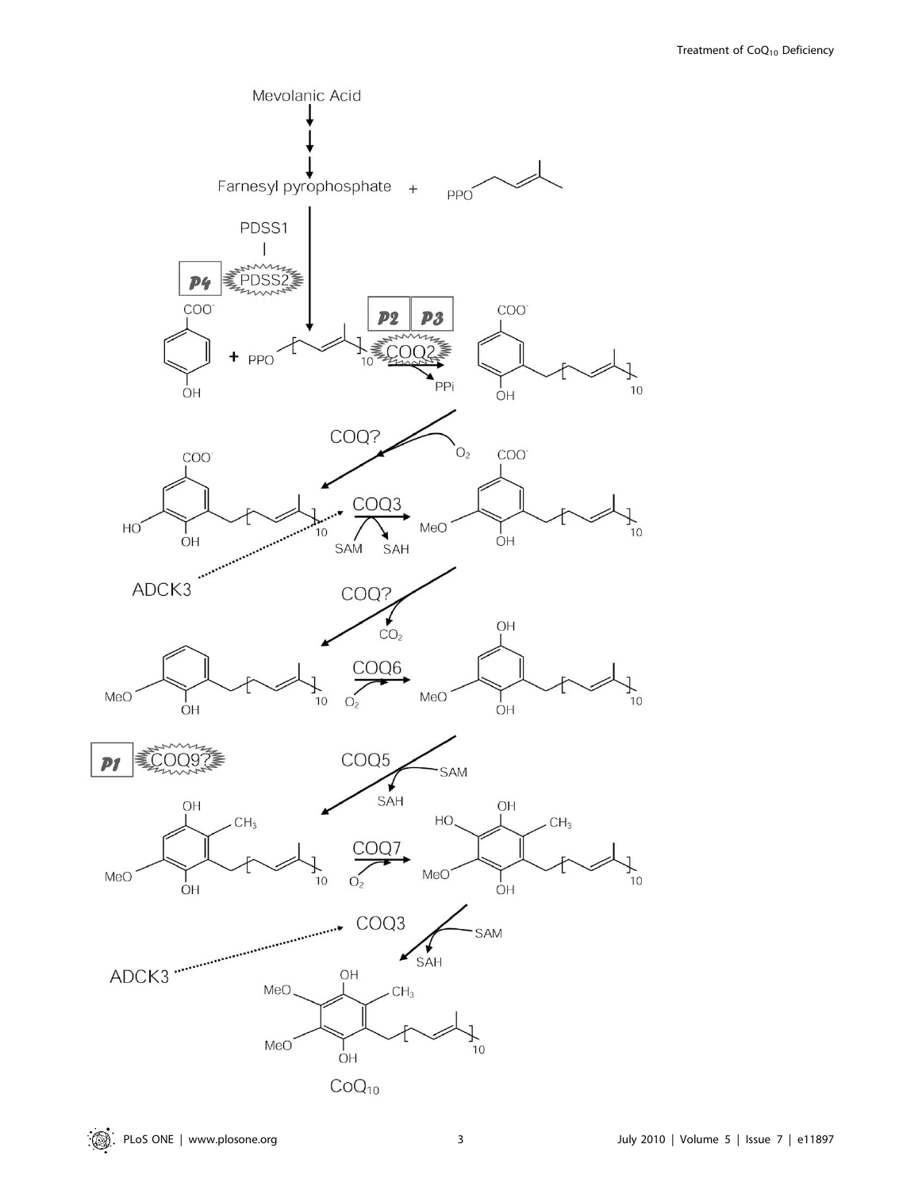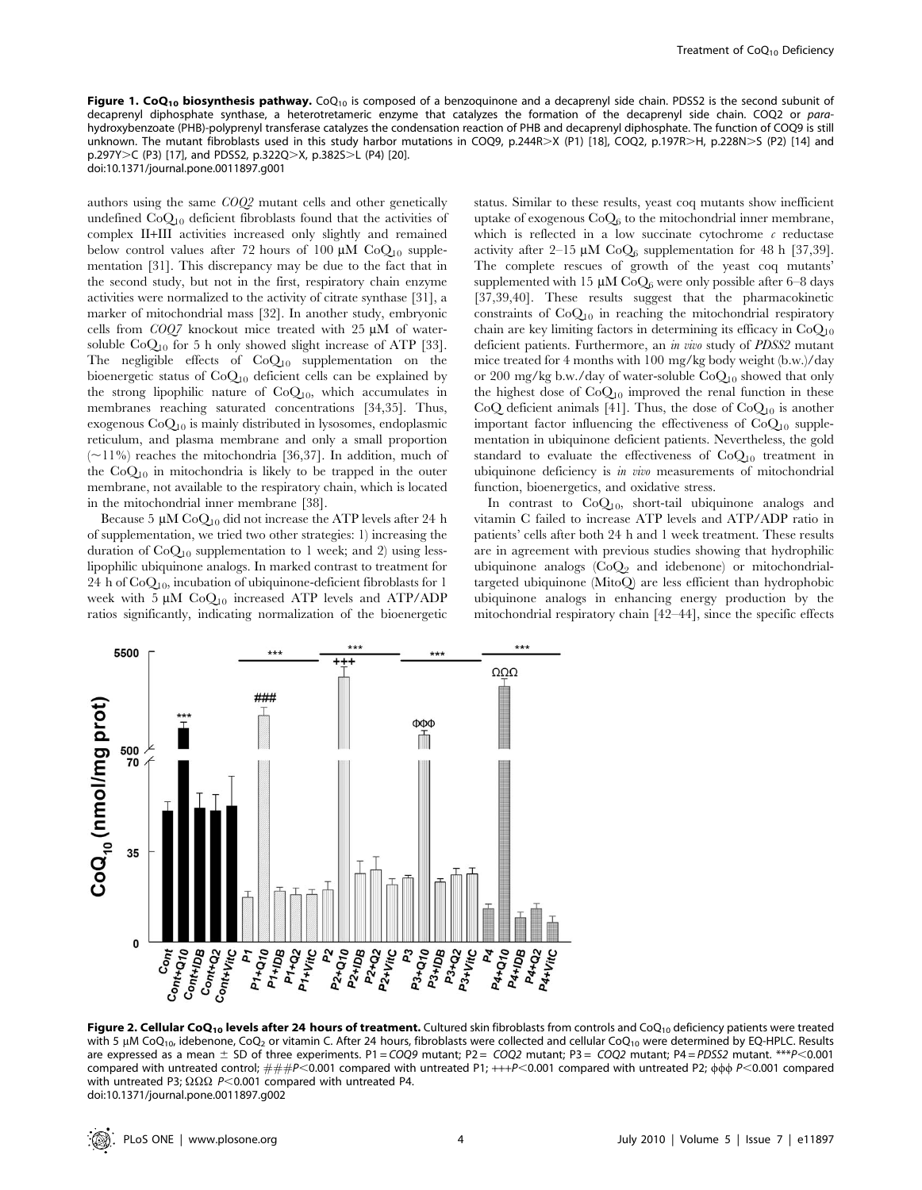Figure 1. CoQ<sub>10</sub> biosynthesis pathway. CoQ<sub>10</sub> is composed of a benzoquinone and a decaprenyl side chain. PDSS2 is the second subunit of decaprenyl diphosphate synthase, a heterotretameric enzyme that catalyzes the formation of the decaprenyl side chain. COQ2 or parahydroxybenzoate (PHB)-polyprenyl transferase catalyzes the condensation reaction of PHB and decaprenyl diphosphate. The function of COQ9 is still unknown. The mutant fibroblasts used in this study harbor mutations in COQ9, p.244R>X (P1) [18], COQ2, p.197R>H, p.228N>S (P2) [14] and  $p.297Y>C$  (P3) [17], and PDSS2,  $p.322Q>X$ ,  $p.382S>L$  (P4) [20]. doi:10.1371/journal.pone.0011897.g001

authors using the same COQ2 mutant cells and other genetically undefined  $CoQ_{10}$  deficient fibroblasts found that the activities of complex II+III activities increased only slightly and remained below control values after 72 hours of 100  $\mu$ M CoO<sub>10</sub> supplementation [31]. This discrepancy may be due to the fact that in the second study, but not in the first, respiratory chain enzyme activities were normalized to the activity of citrate synthase [31], a marker of mitochondrial mass [32]. In another study, embryonic cells from  $COQ7$  knockout mice treated with 25  $\mu$ M of watersoluble  $CoQ_{10}$  for 5 h only showed slight increase of ATP [33]. The negligible effects of  $CoQ_{10}$  supplementation on the bioenergetic status of CoQ10 deficient cells can be explained by the strong lipophilic nature of  $CoQ<sub>10</sub>$ , which accumulates in membranes reaching saturated concentrations [34,35]. Thus, exogenous CoQ10 is mainly distributed in lysosomes, endoplasmic reticulum, and plasma membrane and only a small proportion  $(\sim)11\%)$  reaches the mitochondria [36,37]. In addition, much of the  $CoQ_{10}$  in mitochondria is likely to be trapped in the outer membrane, not available to the respiratory chain, which is located in the mitochondrial inner membrane [38].

Because 5  $\mu$ M CoO<sub>10</sub> did not increase the ATP levels after 24 h of supplementation, we tried two other strategies: 1) increasing the duration of  $CoQ_{10}$  supplementation to 1 week; and 2) using lesslipophilic ubiquinone analogs. In marked contrast to treatment for 24 h of  $CoQ<sub>10</sub>$ , incubation of ubiquinone-deficient fibroblasts for 1 week with 5  $\mu$ M Co $Q_{10}$  increased ATP levels and ATP/ADP ratios significantly, indicating normalization of the bioenergetic

status. Similar to these results, yeast coq mutants show inefficient uptake of exogenous  $CoQ_6$  to the mitochondrial inner membrane, which is reflected in a low succinate cytochrome  $\epsilon$  reductase activity after 2–15  $\mu$ M CoO<sub>6</sub> supplementation for 48 h [37,39]. The complete rescues of growth of the yeast coq mutants' supplemented with 15  $\mu$ M CoO<sub>6</sub> were only possible after 6–8 days [37,39,40]. These results suggest that the pharmacokinetic constraints of  $CoQ_{10}$  in reaching the mitochondrial respiratory chain are key limiting factors in determining its efficacy in  $CoQ_{10}$ deficient patients. Furthermore, an in vivo study of PDSS2 mutant mice treated for 4 months with 100 mg/kg body weight (b.w.)/day or 200 mg/kg b.w./day of water-soluble  $CoQ_{10}$  showed that only the highest dose of  $CoQ_{10}$  improved the renal function in these CoQ deficient animals [41]. Thus, the dose of  $CoQ<sub>10</sub>$  is another important factor influencing the effectiveness of  $CoQ<sub>10</sub>$  supplementation in ubiquinone deficient patients. Nevertheless, the gold standard to evaluate the effectiveness of  $CoQ_{10}$  treatment in ubiquinone deficiency is in vivo measurements of mitochondrial function, bioenergetics, and oxidative stress.

In contrast to  $CoQ<sub>10</sub>$ , short-tail ubiquinone analogs and vitamin C failed to increase ATP levels and ATP/ADP ratio in patients' cells after both 24 h and 1 week treatment. These results are in agreement with previous studies showing that hydrophilic ubiquinone analogs  $(CoQ<sub>2</sub>)$  and idebenone) or mitochondrialtargeted ubiquinone (MitoQ) are less efficient than hydrophobic ubiquinone analogs in enhancing energy production by the mitochondrial respiratory chain [42–44], since the specific effects



Figure 2. Cellular CoQ<sub>10</sub> levels after 24 hours of treatment. Cultured skin fibroblasts from controls and CoQ<sub>10</sub> deficiency patients were treated with 5  $\mu$ M CoQ<sub>10</sub>, idebenone, CoQ<sub>2</sub> or vitamin C. After 24 hours, fibroblasts were collected and cellular CoQ<sub>10</sub> were determined by EQ-HPLC. Results are expressed as a mean  $\pm$  SD of three experiments. P1 = COQ9 mutant; P2 = COQ2 mutant; P3 = COQ2 mutant; P4 = PDSS2 mutant. \*\*\* P< 0.001 compared with untreated control;  $\# \# P < 0.001$  compared with untreated P1;  $+++P < 0.001$  compared with untreated P2;  $\phi\phi \sim 0.001$  compared with untreated P3;  $\Omega\Omega\Omega$  P<0.001 compared with untreated P4. doi:10.1371/journal.pone.0011897.g002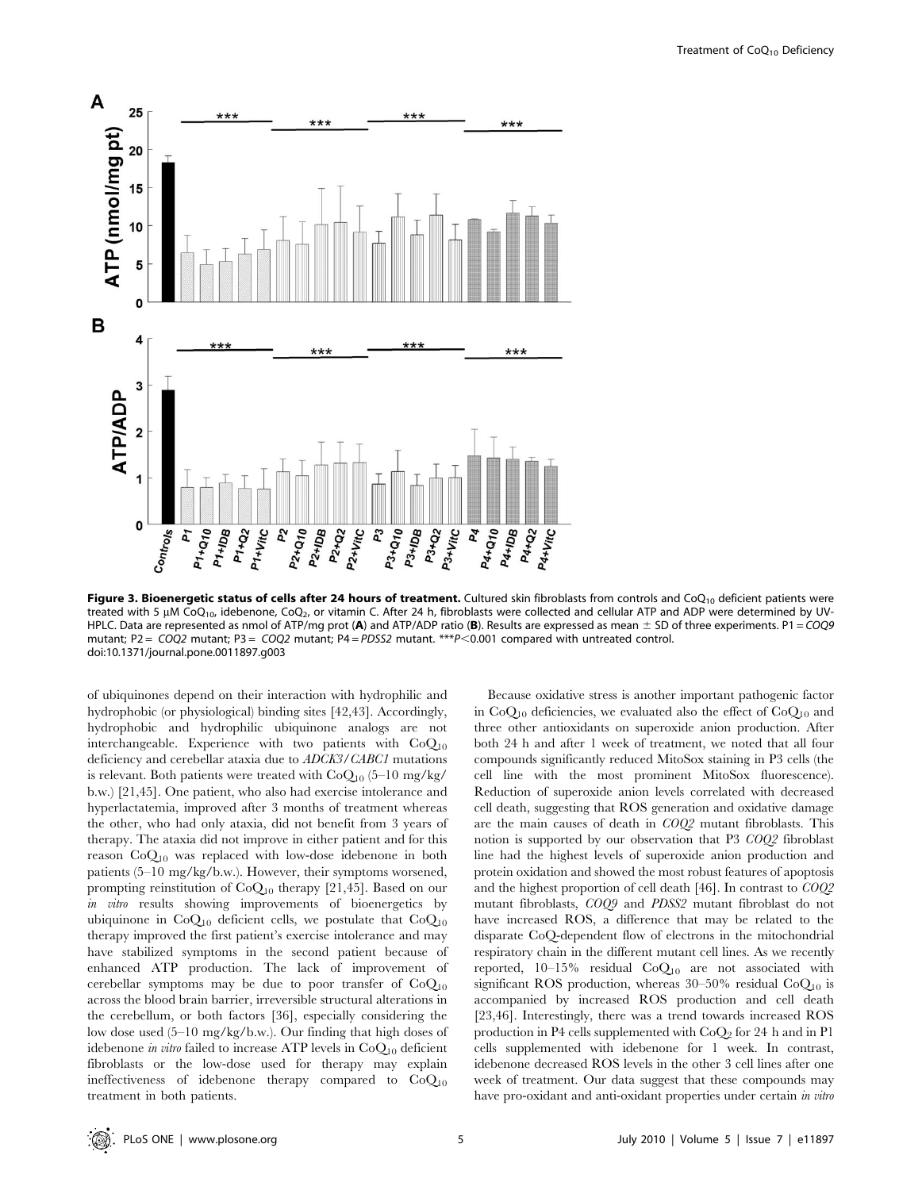

Figure 3. Bioenergetic status of cells after 24 hours of treatment. Cultured skin fibroblasts from controls and CoQ<sub>10</sub> deficient patients were treated with 5  $\mu$ M CoQ<sub>10</sub>, idebenone, CoQ<sub>2</sub>, or vitamin C. After 24 h, fibroblasts were collected and cellular ATP and ADP were determined by UV-HPLC. Data are represented as nmol of ATP/mg prot (A) and ATP/ADP ratio (B). Results are expressed as mean  $\pm$  SD of three experiments. P1 = COQ9 mutant; P2 =  $COQ2$  mutant; P3 =  $COQ2$  mutant; P4 =  $PDS22$  mutant. \*\*\* $P < 0.001$  compared with untreated control. doi:10.1371/journal.pone.0011897.g003

of ubiquinones depend on their interaction with hydrophilic and hydrophobic (or physiological) binding sites [42,43]. Accordingly, hydrophobic and hydrophilic ubiquinone analogs are not interchangeable. Experience with two patients with  $CoQ_{10}$ deficiency and cerebellar ataxia due to ADCK3/CABC1 mutations is relevant. Both patients were treated with  $CoQ_{10}$  (5–10 mg/kg/ b.w.) [21,45]. One patient, who also had exercise intolerance and hyperlactatemia, improved after 3 months of treatment whereas the other, who had only ataxia, did not benefit from 3 years of therapy. The ataxia did not improve in either patient and for this reason  $CoQ_{10}$  was replaced with low-dose idebenone in both patients (5–10 mg/kg/b.w.). However, their symptoms worsened, prompting reinstitution of CoQ10 therapy [21,45]. Based on our in vitro results showing improvements of bioenergetics by ubiquinone in  $CoQ_{10}$  deficient cells, we postulate that  $CoQ_{10}$ therapy improved the first patient's exercise intolerance and may have stabilized symptoms in the second patient because of enhanced ATP production. The lack of improvement of cerebellar symptoms may be due to poor transfer of  $CoQ_{10}$ across the blood brain barrier, irreversible structural alterations in the cerebellum, or both factors [36], especially considering the low dose used (5–10 mg/kg/b.w.). Our finding that high doses of idebenone in vitro failed to increase ATP levels in  $CoQ_{10}$  deficient fibroblasts or the low-dose used for therapy may explain ineffectiveness of idebenone therapy compared to  $CoQ_{10}$ treatment in both patients.

Because oxidative stress is another important pathogenic factor in  $CoQ_{10}$  deficiencies, we evaluated also the effect of  $CoQ_{10}$  and three other antioxidants on superoxide anion production. After both 24 h and after 1 week of treatment, we noted that all four compounds significantly reduced MitoSox staining in P3 cells (the cell line with the most prominent MitoSox fluorescence). Reduction of superoxide anion levels correlated with decreased cell death, suggesting that ROS generation and oxidative damage are the main causes of death in COQ2 mutant fibroblasts. This notion is supported by our observation that P3 COQ2 fibroblast line had the highest levels of superoxide anion production and protein oxidation and showed the most robust features of apoptosis and the highest proportion of cell death [46]. In contrast to COQ2 mutant fibroblasts, COQ9 and PDSS2 mutant fibroblast do not have increased ROS, a difference that may be related to the disparate CoQ-dependent flow of electrons in the mitochondrial respiratory chain in the different mutant cell lines. As we recently reported,  $10-15\%$  residual  $CoQ<sub>10</sub>$  are not associated with significant ROS production, whereas  $30-50\%$  residual Co $Q_{10}$  is accompanied by increased ROS production and cell death [23,46]. Interestingly, there was a trend towards increased ROS production in P4 cells supplemented with  $CoQ<sub>2</sub>$  for 24 h and in P1 cells supplemented with idebenone for 1 week. In contrast, idebenone decreased ROS levels in the other 3 cell lines after one week of treatment. Our data suggest that these compounds may have pro-oxidant and anti-oxidant properties under certain in vitro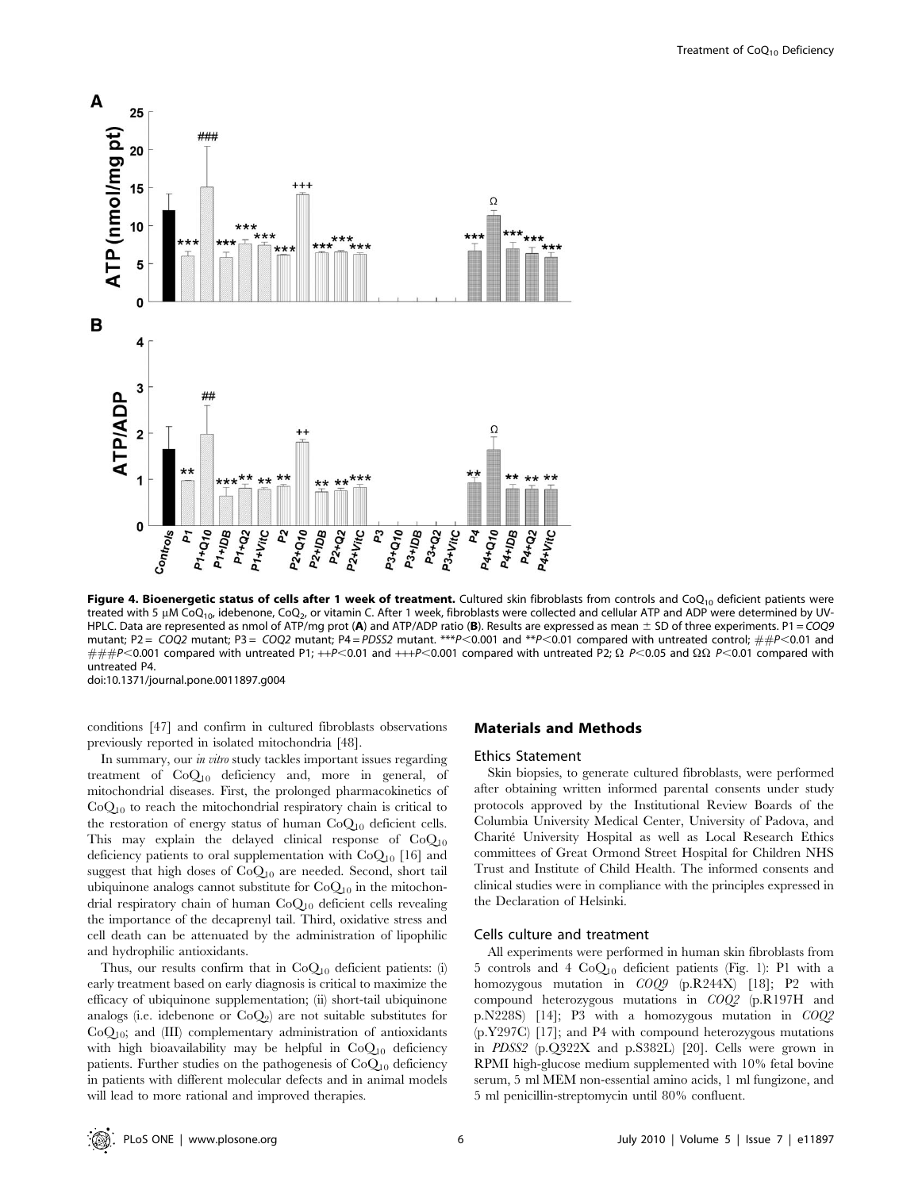

Figure 4. Bioenergetic status of cells after 1 week of treatment. Cultured skin fibroblasts from controls and  $CoQ_{10}$  deficient patients were treated with 5  $\mu$ M CoQ<sub>10</sub>, idebenone, CoQ<sub>2</sub>, or vitamin C. After 1 week, fibroblasts were collected and cellular ATP and ADP were determined by UV-HPLC. Data are represented as nmol of ATP/mg prot (A) and ATP/ADP ratio (B). Results are expressed as mean  $\pm$  SD of three experiments. P1 = COQ9 mutant; P2 = COQ2 mutant; P3 = COQ2 mutant; P4 = PDSS2 mutant. \*\*\*P<0.001 and \*\*P<0.01 compared with untreated control;  $\#P$  <0.01 and  $\# \#P$ <0.001 compared with untreated P1; ++P<0.01 and +++P<0.001 compared with untreated P2;  $\Omega$  P<0.05 and  $\Omega \Omega$  P<0.01 compared with untreated P4. doi:10.1371/journal.pone.0011897.g004

conditions [47] and confirm in cultured fibroblasts observations previously reported in isolated mitochondria [48].

In summary, our in vitro study tackles important issues regarding treatment of CoQ10 deficiency and, more in general, of mitochondrial diseases. First, the prolonged pharmacokinetics of  $CoQ_{10}$  to reach the mitochondrial respiratory chain is critical to the restoration of energy status of human  $CoQ_{10}$  deficient cells. This may explain the delayed clinical response of  $CoQ_{10}$ deficiency patients to oral supplementation with  $CoQ_{10}$  [16] and suggest that high doses of  $CoQ_{10}$  are needed. Second, short tail ubiquinone analogs cannot substitute for  $CoQ_{10}$  in the mitochondrial respiratory chain of human CoQ10 deficient cells revealing the importance of the decaprenyl tail. Third, oxidative stress and cell death can be attenuated by the administration of lipophilic and hydrophilic antioxidants.

Thus, our results confirm that in  $CoQ_{10}$  deficient patients: (i) early treatment based on early diagnosis is critical to maximize the efficacy of ubiquinone supplementation; (ii) short-tail ubiquinone analogs (i.e. idebenone or  $CoQ_2$ ) are not suitable substitutes for CoQ10; and (III) complementary administration of antioxidants with high bioavailability may be helpful in  $CoQ<sub>10</sub>$  deficiency patients. Further studies on the pathogenesis of CoQ<sub>10</sub> deficiency in patients with different molecular defects and in animal models will lead to more rational and improved therapies.

#### Materials and Methods

#### Ethics Statement

Skin biopsies, to generate cultured fibroblasts, were performed after obtaining written informed parental consents under study protocols approved by the Institutional Review Boards of the Columbia University Medical Center, University of Padova, and Charite´ University Hospital as well as Local Research Ethics committees of Great Ormond Street Hospital for Children NHS Trust and Institute of Child Health. The informed consents and clinical studies were in compliance with the principles expressed in the Declaration of Helsinki.

#### Cells culture and treatment

All experiments were performed in human skin fibroblasts from 5 controls and 4  $CoQ<sub>10</sub>$  deficient patients (Fig. 1): P1 with a homozygous mutation in COQ9 (p.R244X) [18]; P2 with compound heterozygous mutations in COQ2 (p.R197H and p.N228S) [14]; P3 with a homozygous mutation in COQ2 (p.Y297C) [17]; and P4 with compound heterozygous mutations in PDSS2 (p.Q322X and p.S382L) [20]. Cells were grown in RPMI high-glucose medium supplemented with 10% fetal bovine serum, 5 ml MEM non-essential amino acids, 1 ml fungizone, and 5 ml penicillin-streptomycin until 80% confluent.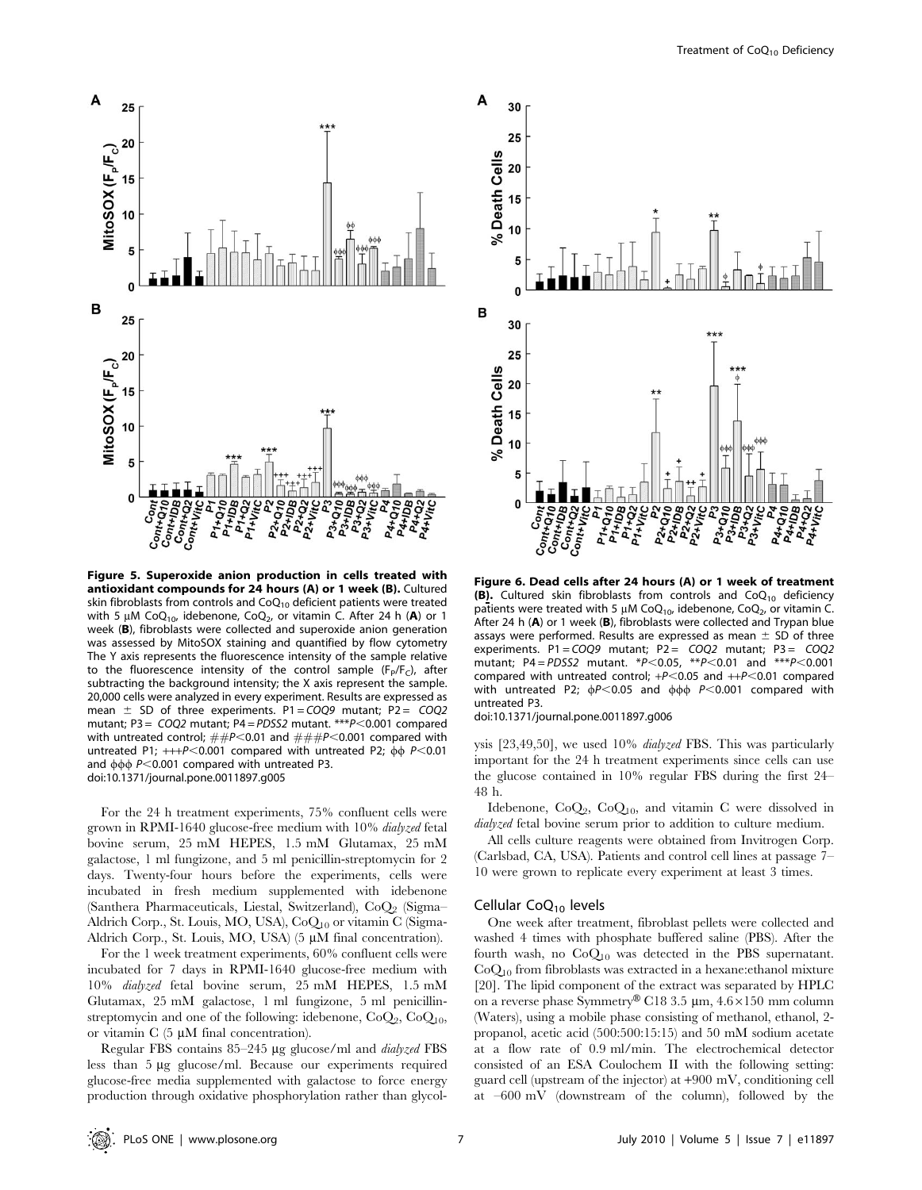

Figure 5. Superoxide anion production in cells treated with antioxidant compounds for 24 hours (A) or 1 week (B). Cultured skin fibroblasts from controls and  $CoQ_{10}$  deficient patients were treated with 5  $\mu$ M CoQ<sub>10</sub>, idebenone, CoQ<sub>2</sub>, or vitamin C. After 24 h (A) or 1 week (B), fibroblasts were collected and superoxide anion generation was assessed by MitoSOX staining and quantified by flow cytometry The Y axis represents the fluorescence intensity of the sample relative to the fluorescence intensity of the control sample ( $F_P/F_C$ ), after subtracting the background intensity; the X axis represent the sample. 20,000 cells were analyzed in every experiment. Results are expressed as mean  $\pm$  SD of three experiments. P1 = COQ9 mutant; P2 = COQ2 mutant; P3 =  $COQ2$  mutant; P4 = PDSS2 mutant. \*\*\*P<0.001 compared with untreated control;  $\# \# P \le 0.01$  and  $\# \# \# P \le 0.001$  compared with untreated P1;  $++P<0.001$  compared with untreated P2;  $\phi\phi$  P $<$ 0.01 and  $\phi\phi\phi$  P<0.001 compared with untreated P3. doi:10.1371/journal.pone.0011897.g005

For the 24 h treatment experiments, 75% confluent cells were grown in RPMI-1640 glucose-free medium with 10% dialyzed fetal bovine serum, 25 mM HEPES, 1.5 mM Glutamax, 25 mM galactose, 1 ml fungizone, and 5 ml penicillin-streptomycin for 2 days. Twenty-four hours before the experiments, cells were incubated in fresh medium supplemented with idebenone (Santhera Pharmaceuticals, Liestal, Switzerland),  $CoQ<sub>2</sub>$  (Sigma– Aldrich Corp., St. Louis, MO, USA), CoQ<sub>10</sub> or vitamin C (Sigma-Aldrich Corp., St. Louis, MO, USA)  $(5 \mu M)$  final concentration).

For the 1 week treatment experiments, 60% confluent cells were incubated for 7 days in RPMI-1640 glucose-free medium with 10% dialyzed fetal bovine serum, 25 mM HEPES, 1.5 mM Glutamax, 25 mM galactose, 1 ml fungizone, 5 ml penicillinstreptomycin and one of the following: idebenone,  $CoQ_2$ ,  $CoQ_{10}$ , or vitamin  $C$  (5  $\mu$ M final concentration).

Regular FBS contains 85-245 µg glucose/ml and *dialyzed* FBS less than 5 µg glucose/ml. Because our experiments required glucose-free media supplemented with galactose to force energy production through oxidative phosphorylation rather than glycol-



Figure 6. Dead cells after 24 hours (A) or 1 week of treatment (B). Cultured skin fibroblasts from controls and  $CoQ_{10}$  deficiency patients were treated with 5  $\mu$ M CoQ<sub>10</sub>, idebenone, CoQ<sub>2</sub>, or vitamin C. After 24 h (A) or 1 week (B), fibroblasts were collected and Trypan blue assays were performed. Results are expressed as mean  $\pm$  SD of three experiments. P1 =  $COQ9$  mutant; P2 =  $COQ2$  mutant; P3 =  $COQ2$ mutant; P4 = PDSS2 mutant. \*P<0.05, \*\*P<0.01 and \*\*\*P<0.001 compared with untreated control;  $+P<0.05$  and  $++P<0.01$  compared with untreated P2;  $\phi$ P<0.05 and  $\phi$  $\phi$  P<0.001 compared with untreated P3.

doi:10.1371/journal.pone.0011897.g006

ysis [23,49,50], we used 10% dialyzed FBS. This was particularly important for the 24 h treatment experiments since cells can use the glucose contained in 10% regular FBS during the first 24– 48 h.

Idebenone,  $CoQ_2$ ,  $CoQ_{10}$ , and vitamin C were dissolved in dialyzed fetal bovine serum prior to addition to culture medium.

All cells culture reagents were obtained from Invitrogen Corp. (Carlsbad, CA, USA). Patients and control cell lines at passage 7– 10 were grown to replicate every experiment at least 3 times.

#### Cellular  $CoQ<sub>10</sub>$  levels

One week after treatment, fibroblast pellets were collected and washed 4 times with phosphate buffered saline (PBS). After the fourth wash, no  $CoQ_{10}$  was detected in the PBS supernatant.  $CoQ<sub>10</sub>$  from fibroblasts was extracted in a hexane: ethanol mixture [20]. The lipid component of the extract was separated by HPLC on a reverse phase Symmetry® C18 3.5 µm,  $4.6 \times 150$  mm column (Waters), using a mobile phase consisting of methanol, ethanol, 2 propanol, acetic acid (500:500:15:15) and 50 mM sodium acetate at a flow rate of 0.9 ml/min. The electrochemical detector consisted of an ESA Coulochem II with the following setting: guard cell (upstream of the injector) at +900 mV, conditioning cell at –600 mV (downstream of the column), followed by the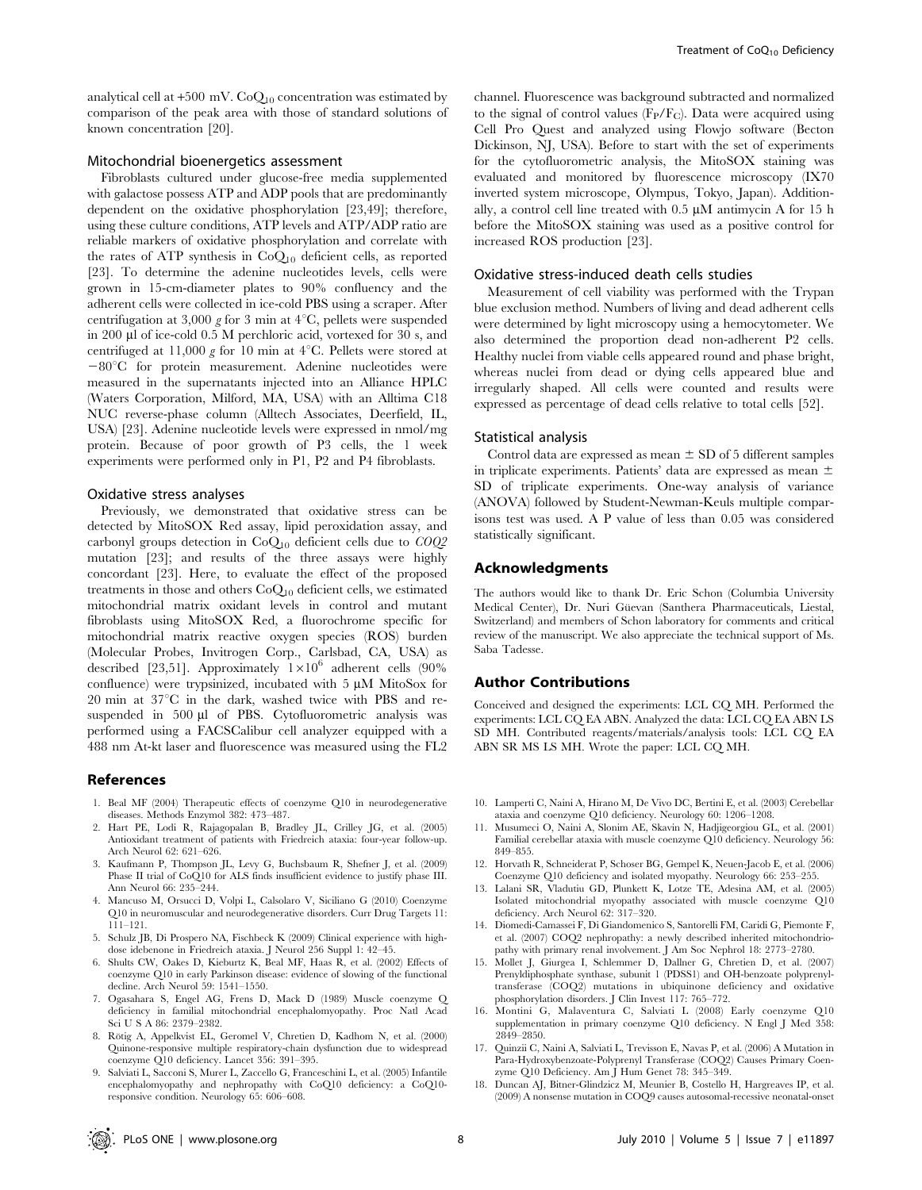analytical cell at +500 mV.  ${\rm CoQ_{10}}$  concentration was estimated by comparison of the peak area with those of standard solutions of known concentration [20].

#### Mitochondrial bioenergetics assessment

Fibroblasts cultured under glucose-free media supplemented with galactose possess ATP and ADP pools that are predominantly dependent on the oxidative phosphorylation [23,49]; therefore, using these culture conditions, ATP levels and ATP/ADP ratio are reliable markers of oxidative phosphorylation and correlate with the rates of ATP synthesis in  $CoQ_{10}$  deficient cells, as reported [23]. To determine the adenine nucleotides levels, cells were grown in 15-cm-diameter plates to 90% confluency and the adherent cells were collected in ice-cold PBS using a scraper. After centrifugation at 3,000 g for 3 min at  $4^{\circ}$ C, pellets were suspended in 200 ml of ice-cold 0.5 M perchloric acid, vortexed for 30 s, and centrifuged at 11,000 g for 10 min at  $4^{\circ}$ C. Pellets were stored at  $-80^{\circ}$ C for protein measurement. Adenine nucleotides were measured in the supernatants injected into an Alliance HPLC (Waters Corporation, Milford, MA, USA) with an Alltima C18 NUC reverse-phase column (Alltech Associates, Deerfield, IL, USA) [23]. Adenine nucleotide levels were expressed in nmol/mg protein. Because of poor growth of P3 cells, the 1 week experiments were performed only in P1, P2 and P4 fibroblasts.

#### Oxidative stress analyses

Previously, we demonstrated that oxidative stress can be detected by MitoSOX Red assay, lipid peroxidation assay, and carbonyl groups detection in  $CoQ_{10}$  deficient cells due to  $COQ2$ mutation [23]; and results of the three assays were highly concordant [23]. Here, to evaluate the effect of the proposed treatments in those and others  $CoQ_{10}$  deficient cells, we estimated mitochondrial matrix oxidant levels in control and mutant fibroblasts using MitoSOX Red, a fluorochrome specific for mitochondrial matrix reactive oxygen species (ROS) burden (Molecular Probes, Invitrogen Corp., Carlsbad, CA, USA) as described [23,51]. Approximately  $1\times10^6$  adherent cells (90%) confluence) were trypsinized, incubated with  $5 \mu M$  MitoSox for  $20 \text{ min}$  at  $37^{\circ}\text{C}$  in the dark, washed twice with PBS and resuspended in 500 µl of PBS. Cytofluorometric analysis was performed using a FACSCalibur cell analyzer equipped with a 488 nm At-kt laser and fluorescence was measured using the FL2

#### References

- 1. Beal MF (2004) Therapeutic effects of coenzyme Q10 in neurodegenerative diseases. Methods Enzymol 382: 473–487.
- 2. Hart PE, Lodi R, Rajagopalan B, Bradley JL, Crilley JG, et al. (2005) Antioxidant treatment of patients with Friedreich ataxia: four-year follow-up. Arch Neurol 62: 621–626.
- 3. Kaufmann P, Thompson JL, Levy G, Buchsbaum R, Shefner J, et al. (2009) Phase II trial of CoQ10 for ALS finds insufficient evidence to justify phase III. Ann Neurol 66: 235–244.
- 4. Mancuso M, Orsucci D, Volpi L, Calsolaro V, Siciliano G (2010) Coenzyme Q10 in neuromuscular and neurodegenerative disorders. Curr Drug Targets 11: 111–121.
- 5. Schulz JB, Di Prospero NA, Fischbeck K (2009) Clinical experience with highdose idebenone in Friedreich ataxia. J Neurol 256 Suppl 1: 42–45.
- 6. Shults CW, Oakes D, Kieburtz K, Beal MF, Haas R, et al. (2002) Effects of coenzyme Q10 in early Parkinson disease: evidence of slowing of the functional decline. Arch Neurol 59: 1541–1550.
- 7. Ogasahara S, Engel AG, Frens D, Mack D (1989) Muscle coenzyme Q deficiency in familial mitochondrial encephalomyopathy. Proc Natl Acad Sci U S A 86: 2379–2382.
- 8. Rötig A, Appelkvist EL, Geromel V, Chretien D, Kadhom N, et al. (2000) Quinone-responsive multiple respiratory-chain dysfunction due to widespread coenzyme Q10 deficiency. Lancet 356: 391–395.
- 9. Salviati L, Sacconi S, Murer L, Zaccello G, Franceschini L, et al. (2005) Infantile encephalomyopathy and nephropathy with CoQ10 deficiency: a CoQ10 responsive condition. Neurology 65: 606–608.

channel. Fluorescence was background subtracted and normalized to the signal of control values  $(F_P/F_C)$ . Data were acquired using Cell Pro Quest and analyzed using Flowjo software (Becton Dickinson, NJ, USA). Before to start with the set of experiments for the cytofluorometric analysis, the MitoSOX staining was evaluated and monitored by fluorescence microscopy (IX70 inverted system microscope, Olympus, Tokyo, Japan). Additionally, a control cell line treated with  $0.5 \mu M$  antimycin A for 15 h before the MitoSOX staining was used as a positive control for increased ROS production [23].

#### Oxidative stress-induced death cells studies

Measurement of cell viability was performed with the Trypan blue exclusion method. Numbers of living and dead adherent cells were determined by light microscopy using a hemocytometer. We also determined the proportion dead non-adherent P2 cells. Healthy nuclei from viable cells appeared round and phase bright, whereas nuclei from dead or dying cells appeared blue and irregularly shaped. All cells were counted and results were expressed as percentage of dead cells relative to total cells [52].

#### Statistical analysis

Control data are expressed as mean  $\pm$  SD of 5 different samples in triplicate experiments. Patients' data are expressed as mean  $\pm$ SD of triplicate experiments. One-way analysis of variance (ANOVA) followed by Student-Newman-Keuls multiple comparisons test was used. A P value of less than 0.05 was considered statistically significant.

#### Acknowledgments

The authors would like to thank Dr. Eric Schon (Columbia University Medical Center), Dr. Nuri Güevan (Santhera Pharmaceuticals, Liestal, Switzerland) and members of Schon laboratory for comments and critical review of the manuscript. We also appreciate the technical support of Ms. Saba Tadesse.

#### Author Contributions

Conceived and designed the experiments: LCL CQ MH. Performed the experiments: LCL CQ EA ABN. Analyzed the data: LCL CQ EA ABN LS SD MH. Contributed reagents/materials/analysis tools: LCL CQ EA ABN SR MS LS MH. Wrote the paper: LCL CQ MH.

- 10. Lamperti C, Naini A, Hirano M, De Vivo DC, Bertini E, et al. (2003) Cerebellar ataxia and coenzyme Q10 deficiency. Neurology 60: 1206–1208.
- 11. Musumeci O, Naini A, Slonim AE, Skavin N, Hadjigeorgiou GL, et al. (2001) Familial cerebellar ataxia with muscle coenzyme Q10 deficiency. Neurology 56: 849–855.
- 12. Horvath R, Schneiderat P, Schoser BG, Gempel K, Neuen-Jacob E, et al. (2006) Coenzyme Q10 deficiency and isolated myopathy. Neurology 66: 253–255.
- 13. Lalani SR, Vladutiu GD, Plunkett K, Lotze TE, Adesina AM, et al. (2005) Isolated mitochondrial myopathy associated with muscle coenzyme Q10 deficiency. Arch Neurol 62: 317–320.
- 14. Diomedi-Camassei F, Di Giandomenico S, Santorelli FM, Caridi G, Piemonte F, et al. (2007) COQ2 nephropathy: a newly described inherited mitochondriopathy with primary renal involvement. J Am Soc Nephrol 18: 2773–2780.
- 15. Mollet J, Giurgea I, Schlemmer D, Dallner G, Chretien D, et al. (2007) Prenyldiphosphate synthase, subunit 1 (PDSS1) and OH-benzoate polyprenyltransferase (COQ2) mutations in ubiquinone deficiency and oxidative phosphorylation disorders. J Clin Invest 117: 765–772.
- 16. Montini G, Malaventura C, Salviati L (2008) Early coenzyme Q10 supplementation in primary coenzyme Q10 deficiency. N Engl J Med 358: 2849–2850.
- 17. Quinzii C, Naini A, Salviati L, Trevisson E, Navas P, et al. (2006) A Mutation in Para-Hydroxybenzoate-Polyprenyl Transferase (COQ2) Causes Primary Coenzyme Q10 Deficiency. Am J Hum Genet 78: 345–349.
- 18. Duncan AJ, Bitner-Glindzicz M, Meunier B, Costello H, Hargreaves IP, et al. (2009) A nonsense mutation in COQ9 causes autosomal-recessive neonatal-onset